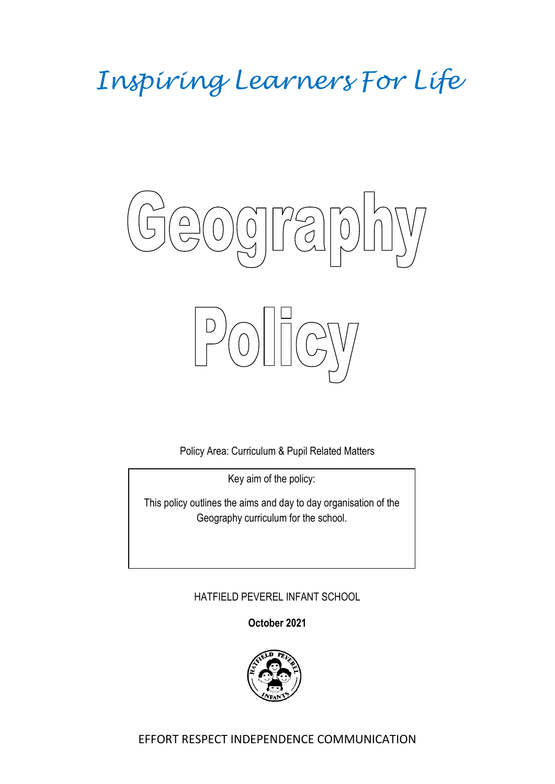# *Inspiring Learners For Life*



Policy Area: Curriculum & Pupil Related Matters

Key aim of the policy:

This policy outlines the aims and day to day organisation of the Geography curriculum for the school.

## HATFIELD PEVEREL INFANT SCHOOL

**October 2021**

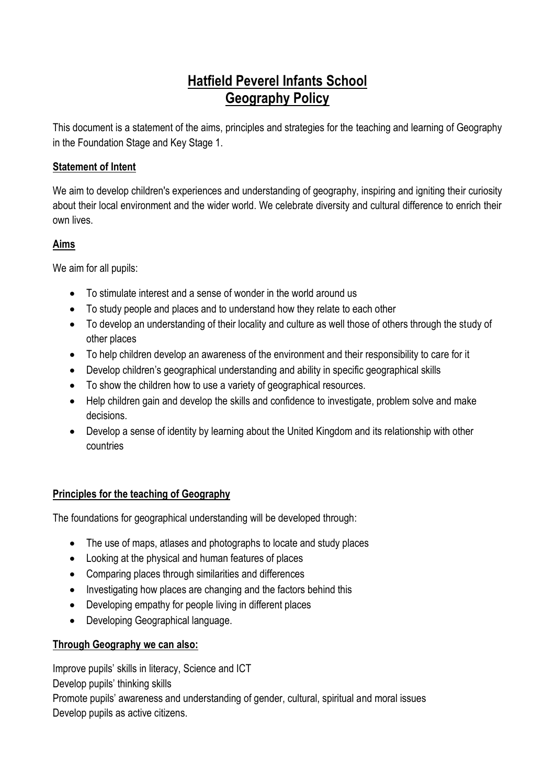# **Hatfield Peverel Infants School Geography Policy**

This document is a statement of the aims, principles and strategies for the teaching and learning of Geography in the Foundation Stage and Key Stage 1.

#### **Statement of Intent**

We aim to develop children's experiences and understanding of geography, inspiring and igniting their curiosity about their local environment and the wider world. We celebrate diversity and cultural difference to enrich their own lives.

#### **Aims**

We aim for all pupils:

- To stimulate interest and a sense of wonder in the world around us
- To study people and places and to understand how they relate to each other
- To develop an understanding of their locality and culture as well those of others through the study of other places
- To help children develop an awareness of the environment and their responsibility to care for it
- Develop children's geographical understanding and ability in specific geographical skills
- To show the children how to use a variety of geographical resources.
- Help children gain and develop the skills and confidence to investigate, problem solve and make decisions.
- Develop a sense of identity by learning about the United Kingdom and its relationship with other countries

### **Principles for the teaching of Geography**

The foundations for geographical understanding will be developed through:

- The use of maps, at asses and photographs to locate and study places
- Looking at the physical and human features of places
- Comparing places through similarities and differences
- Investigating how places are changing and the factors behind this
- Developing empathy for people living in different places
- Developing Geographical language.

### **Through Geography we can also:**

Improve pupils' skills in literacy, Science and ICT

Develop pupils' thinking skills

Promote pupils' awareness and understanding of gender, cultural, spiritual and moral issues Develop pupils as active citizens.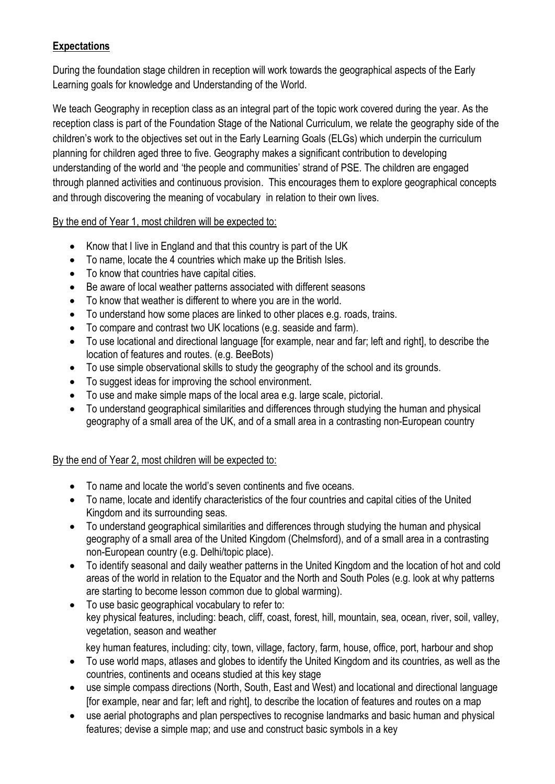#### **Expectations**

During the foundation stage children in reception will work towards the geographical aspects of the Early Learning goals for knowledge and Understanding of the World.

We teach Geography in reception class as an integral part of the topic work covered during the year. As the reception class is part of the Foundation Stage of the National Curriculum, we relate the geography side of the children's work to the objectives set out in the Early Learning Goals (ELGs) which underpin the curriculum planning for children aged three to five. Geography makes a significant contribution to developing understanding of the world and 'the people and communities' strand of PSE. The children are engaged through planned activities and continuous provision. This encourages them to explore geographical concepts and through discovering the meaning of vocabulary in relation to their own lives.

By the end of Year 1, most children will be expected to:

- Know that I live in England and that this country is part of the UK
- To name, locate the 4 countries which make up the British Isles.
- To know that countries have capital cities.
- Be aware of local weather patterns associated with different seasons
- To know that weather is different to where you are in the world.
- To understand how some places are linked to other places e.g. roads, trains.
- To compare and contrast two UK locations (e.g. seaside and farm).
- To use locational and directional language [for example, near and far; left and right], to describe the location of features and routes. (e.g. BeeBots)
- To use simple observational skills to study the geography of the school and its grounds.
- To suggest ideas for improving the school environment.
- To use and make simple maps of the local area e.g. large scale, pictorial.
- To understand geographical similarities and differences through studying the human and physical geography of a small area of the UK, and of a small area in a contrasting non-European country

#### By the end of Year 2, most children will be expected to:

- To name and locate the world's seven continents and five oceans.
- To name, locate and identify characteristics of the four countries and capital cities of the United Kingdom and its surrounding seas.
- To understand geographical similarities and differences through studying the human and physical geography of a small area of the United Kingdom (Chelmsford), and of a small area in a contrasting non-European country (e.g. Delhi/topic place).
- To identify seasonal and daily weather patterns in the United Kingdom and the location of hot and cold areas of the world in relation to the Equator and the North and South Poles (e.g. look at why patterns are starting to become lesson common due to global warming).
- To use basic geographical vocabulary to refer to: key physical features, including: beach, cliff, coast, forest, hill, mountain, sea, ocean, river, soil, valley, vegetation, season and weather
	- key human features, including: city, town, village, factory, farm, house, office, port, harbour and shop
- To use world maps, atlases and globes to identify the United Kingdom and its countries, as well as the countries, continents and oceans studied at this key stage
- use simple compass directions (North, South, East and West) and locational and directional language [for example, near and far; left and right], to describe the location of features and routes on a map
- use aerial photographs and plan perspectives to recognise landmarks and basic human and physical features; devise a simple map; and use and construct basic symbols in a key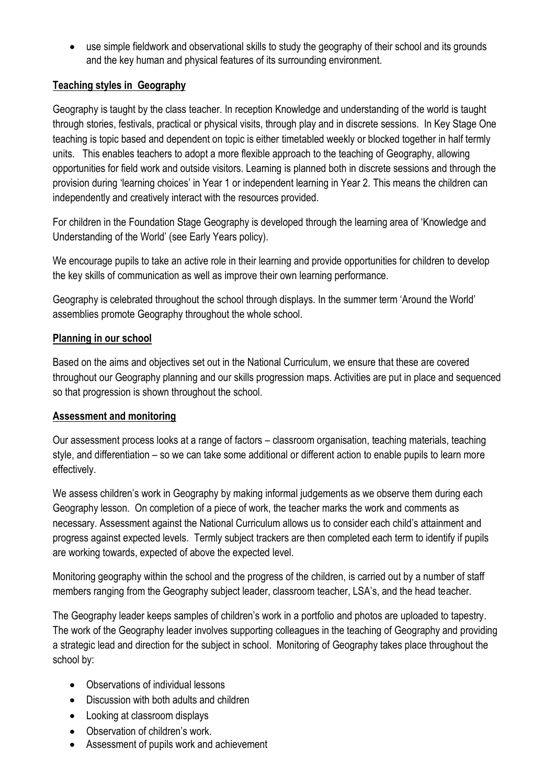use simple fieldwork and observational skills to study the geography of their school and its grounds and the key human and physical features of its surrounding environment.

#### **Teaching styles in Geography**

Geography is taught by the class teacher. In reception Knowledge and understanding of the world is taught through stories, festivals, practical or physical visits, through play and in discrete sessions. In Key Stage One teaching is topic based and dependent on topic is either timetabled weekly or blocked together in half termly units. This enables teachers to adopt a more flexible approach to the teaching of Geography, allowing opportunities for field work and outside visitors. Learning is planned both in discrete sessions and through the provision during 'learning choices' in Year 1 or independent learning in Year 2. This means the children can independently and creatively interact with the resources provided.

For children in the Foundation Stage Geography is developed through the learning area of 'Knowledge and Understanding of the World' (see Early Years policy).

We encourage pupils to take an active role in their learning and provide opportunities for children to develop the key skills of communication as well as improve their own learning performance.

Geography is celebrated throughout the school through displays. In the summer term 'Around the World' assemblies promote Geography throughout the whole school.

#### **Planning in our school**

Based on the aims and objectives set out in the National Curriculum, we ensure that these are covered throughout our Geography planning and our skills progression maps. Activities are put in place and sequenced so that progression is shown throughout the school.

#### **Assessment and monitoring**

Our assessment process looks at a range of factors – classroom organisation, teaching materials, teaching style, and differentiation – so we can take some additional or different action to enable pupils to learn more effectively.

We assess children's work in Geography by making informal judgements as we observe them during each Geography lesson. On completion of a piece of work, the teacher marks the work and comments as necessary. Assessment against the National Curriculum allows us to consider each child's attainment and progress against expected levels. Termly subject trackers are then completed each term to identify if pupils are working towards, expected of above the expected level.

Monitoring geography within the school and the progress of the children, is carried out by a number of staff members ranging from the Geography subject leader, classroom teacher, LSA's, and the head teacher.

The Geography leader keeps samples of children's work in a portfolio and photos are uploaded to tapestry. The work of the Geography leader involves supporting colleagues in the teaching of Geography and providing a strategic lead and direction for the subject in school. Monitoring of Geography takes place throughout the school by:

- Observations of individual lessons
- Discussion with both adults and children
- Looking at classroom displays
- Observation of children's work.
- Assessment of pupils work and achievement